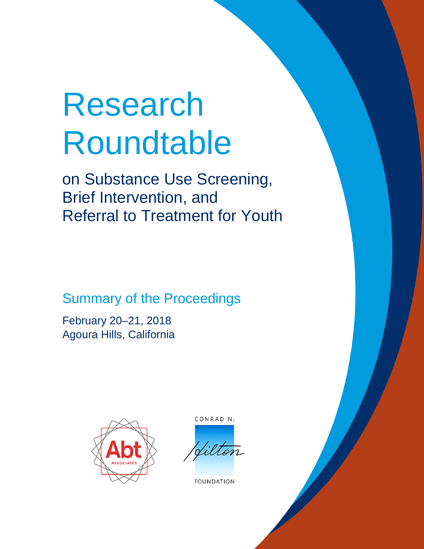# Research Roundtable

on Substance Use Screening, Brief Intervention, and Referral to Treatment for Youth

Summary of the Proceedings

February 20–21, 2018 Agoura Hills, California



CONRAD N.

ilton

**FOUNDATION**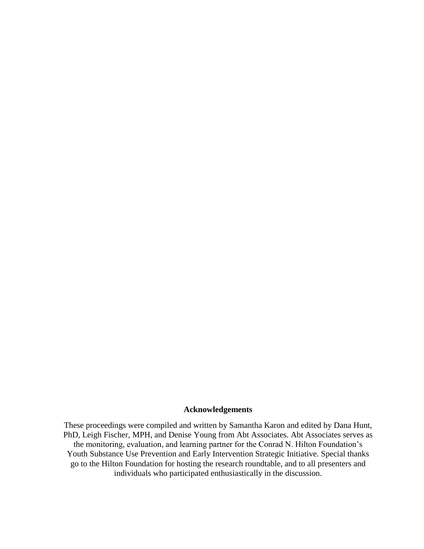# **Acknowledgements**

These proceedings were compiled and written by Samantha Karon and edited by Dana Hunt, PhD, Leigh Fischer, MPH, and Denise Young from Abt Associates. Abt Associates serves as the monitoring, evaluation, and learning partner for the Conrad N. Hilton Foundation's Youth Substance Use Prevention and Early Intervention Strategic Initiative. Special thanks go to the Hilton Foundation for hosting the research roundtable, and to all presenters and individuals who participated enthusiastically in the discussion.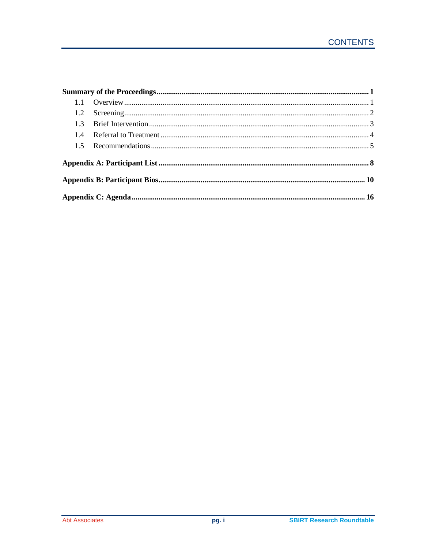| 14 |  |  |  |
|----|--|--|--|
|    |  |  |  |
|    |  |  |  |
|    |  |  |  |
|    |  |  |  |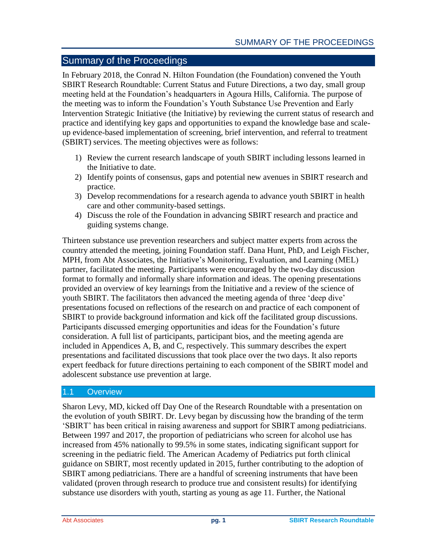# <span id="page-3-0"></span>Summary of the Proceedings

In February 2018, the Conrad N. Hilton Foundation (the Foundation) convened the Youth SBIRT Research Roundtable: Current Status and Future Directions, a two day, small group meeting held at the Foundation's headquarters in Agoura Hills, California. The purpose of the meeting was to inform the Foundation's Youth Substance Use Prevention and Early Intervention Strategic Initiative (the Initiative) by reviewing the current status of research and practice and identifying key gaps and opportunities to expand the knowledge base and scaleup evidence-based implementation of screening, brief intervention, and referral to treatment (SBIRT) services. The meeting objectives were as follows:

- 1) Review the current research landscape of youth SBIRT including lessons learned in the Initiative to date.
- 2) Identify points of consensus, gaps and potential new avenues in SBIRT research and practice.
- 3) Develop recommendations for a research agenda to advance youth SBIRT in health care and other community-based settings.
- 4) Discuss the role of the Foundation in advancing SBIRT research and practice and guiding systems change.

Thirteen substance use prevention researchers and subject matter experts from across the country attended the meeting, joining Foundation staff. Dana Hunt, PhD, and Leigh Fischer, MPH, from Abt Associates, the Initiative's Monitoring, Evaluation, and Learning (MEL) partner, facilitated the meeting. Participants were encouraged by the two-day discussion format to formally and informally share information and ideas. The opening presentations provided an overview of key learnings from the Initiative and a review of the science of youth SBIRT. The facilitators then advanced the meeting agenda of three 'deep dive' presentations focused on reflections of the research on and practice of each component of SBIRT to provide background information and kick off the facilitated group discussions. Participants discussed emerging opportunities and ideas for the Foundation's future consideration. A full list of participants, participant bios, and the meeting agenda are included in Appendices A, B, and C, respectively. This summary describes the expert presentations and facilitated discussions that took place over the two days. It also reports expert feedback for future directions pertaining to each component of the SBIRT model and adolescent substance use prevention at large.

# <span id="page-3-1"></span>1.1 Overview

Sharon Levy, MD, kicked off Day One of the Research Roundtable with a presentation on the evolution of youth SBIRT. Dr. Levy began by discussing how the branding of the term 'SBIRT' has been critical in raising awareness and support for SBIRT among pediatricians. Between 1997 and 2017, the proportion of pediatricians who screen for alcohol use has increased from 45% nationally to 99.5% in some states, indicating significant support for screening in the pediatric field. The American Academy of Pediatrics put forth clinical guidance on SBIRT, most recently updated in 2015, further contributing to the adoption of SBIRT among pediatricians. There are a handful of screening instruments that have been validated (proven through research to produce true and consistent results) for identifying substance use disorders with youth, starting as young as age 11. Further, the National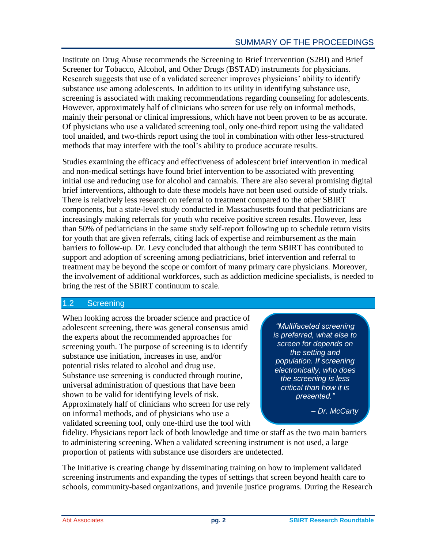Institute on Drug Abuse recommends the Screening to Brief Intervention (S2BI) and Brief Screener for Tobacco, Alcohol, and Other Drugs (BSTAD) instruments for physicians. Research suggests that use of a validated screener improves physicians' ability to identify substance use among adolescents. In addition to its utility in identifying substance use, screening is associated with making recommendations regarding counseling for adolescents. However, approximately half of clinicians who screen for use rely on informal methods, mainly their personal or clinical impressions, which have not been proven to be as accurate. Of physicians who use a validated screening tool, only one-third report using the validated tool unaided, and two-thirds report using the tool in combination with other less-structured methods that may interfere with the tool's ability to produce accurate results.

Studies examining the efficacy and effectiveness of adolescent brief intervention in medical and non-medical settings have found brief intervention to be associated with preventing initial use and reducing use for alcohol and cannabis. There are also several promising digital brief interventions, although to date these models have not been used outside of study trials. There is relatively less research on referral to treatment compared to the other SBIRT components, but a state-level study conducted in Massachusetts found that pediatricians are increasingly making referrals for youth who receive positive screen results. However, less than 50% of pediatricians in the same study self-report following up to schedule return visits for youth that are given referrals, citing lack of expertise and reimbursement as the main barriers to follow-up. Dr. Levy concluded that although the term SBIRT has contributed to support and adoption of screening among pediatricians, brief intervention and referral to treatment may be beyond the scope or comfort of many primary care physicians. Moreover, the involvement of additional workforces, such as addiction medicine specialists, is needed to bring the rest of the SBIRT continuum to scale.

# <span id="page-4-0"></span>1.2 Screening

When looking across the broader science and practice of adolescent screening, there was general consensus amid the experts about the recommended approaches for screening youth. The purpose of screening is to identify substance use initiation, increases in use, and/or potential risks related to alcohol and drug use. Substance use screening is conducted through routine, universal administration of questions that have been shown to be valid for identifying levels of risk. Approximately half of clinicians who screen for use rely on informal methods, and of physicians who use a validated screening tool, only one-third use the tool with

*"Multifaceted screening is preferred, what else to screen for depends on the setting and population. If screening electronically, who does the screening is less critical than how it is presented."*

*– Dr. McCarty*

fidelity. Physicians report lack of both knowledge and time or staff as the two main barriers to administering screening. When a validated screening instrument is not used, a large proportion of patients with substance use disorders are undetected.

The Initiative is creating change by disseminating training on how to implement validated screening instruments and expanding the types of settings that screen beyond health care to schools, community-based organizations, and juvenile justice programs. During the Research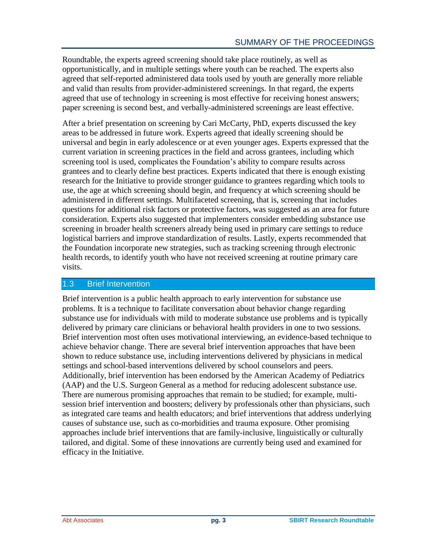Roundtable, the experts agreed screening should take place routinely, as well as opportunistically, and in multiple settings where youth can be reached. The experts also agreed that self-reported administered data tools used by youth are generally more reliable and valid than results from provider-administered screenings. In that regard, the experts agreed that use of technology in screening is most effective for receiving honest answers; paper screening is second best, and verbally-administered screenings are least effective.

After a brief presentation on screening by Cari McCarty, PhD, experts discussed the key areas to be addressed in future work. Experts agreed that ideally screening should be universal and begin in early adolescence or at even younger ages. Experts expressed that the current variation in screening practices in the field and across grantees, including which screening tool is used, complicates the Foundation's ability to compare results across grantees and to clearly define best practices. Experts indicated that there is enough existing research for the Initiative to provide stronger guidance to grantees regarding which tools to use, the age at which screening should begin, and frequency at which screening should be administered in different settings. Multifaceted screening, that is, screening that includes questions for additional risk factors or protective factors, was suggested as an area for future consideration. Experts also suggested that implementers consider embedding substance use screening in broader health screeners already being used in primary care settings to reduce logistical barriers and improve standardization of results. Lastly, experts recommended that the Foundation incorporate new strategies, such as tracking screening through electronic health records, to identify youth who have not received screening at routine primary care visits.

# <span id="page-5-0"></span>1.3 Brief Intervention

Brief intervention is a public health approach to early intervention for substance use problems. It is a technique to facilitate conversation about behavior change regarding substance use for individuals with mild to moderate substance use problems and is typically delivered by primary care clinicians or behavioral health providers in one to two sessions. Brief intervention most often uses motivational interviewing, an evidence-based technique to achieve behavior change. There are several brief intervention approaches that have been shown to reduce substance use, including interventions delivered by physicians in medical settings and school-based interventions delivered by school counselors and peers. Additionally, brief intervention has been endorsed by the American Academy of Pediatrics (AAP) and the U.S. Surgeon General as a method for reducing adolescent substance use. There are numerous promising approaches that remain to be studied; for example, multisession brief intervention and boosters; delivery by professionals other than physicians, such as integrated care teams and health educators; and brief interventions that address underlying causes of substance use, such as co-morbidities and trauma exposure. Other promising approaches include brief interventions that are family-inclusive, linguistically or culturally tailored, and digital. Some of these innovations are currently being used and examined for efficacy in the Initiative.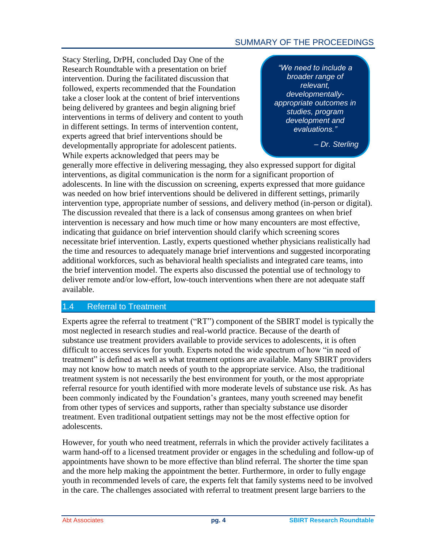# SUMMARY OF THE PROCEEDINGS

Stacy Sterling, DrPH, concluded Day One of the Research Roundtable with a presentation on brief intervention. During the facilitated discussion that followed, experts recommended that the Foundation take a closer look at the content of brief interventions being delivered by grantees and begin aligning brief interventions in terms of delivery and content to youth in different settings. In terms of intervention content, experts agreed that brief interventions should be developmentally appropriate for adolescent patients. While experts acknowledged that peers may be

*"We need to include a broader range of relevant, developmentallyappropriate outcomes in studies, program development and evaluations."*

*– Dr. Sterling*

generally more effective in delivering messaging, they also expressed support for digital interventions, as digital communication is the norm for a significant proportion of adolescents. In line with the discussion on screening, experts expressed that more guidance was needed on how brief interventions should be delivered in different settings, primarily intervention type, appropriate number of sessions, and delivery method (in-person or digital). The discussion revealed that there is a lack of consensus among grantees on when brief intervention is necessary and how much time or how many encounters are most effective, indicating that guidance on brief intervention should clarify which screening scores necessitate brief intervention. Lastly, experts questioned whether physicians realistically had the time and resources to adequately manage brief interventions and suggested incorporating additional workforces, such as behavioral health specialists and integrated care teams, into the brief intervention model. The experts also discussed the potential use of technology to deliver remote and/or low-effort, low-touch interventions when there are not adequate staff available.

# <span id="page-6-0"></span>1.4 Referral to Treatment

Experts agree the referral to treatment ("RT") component of the SBIRT model is typically the most neglected in research studies and real-world practice. Because of the dearth of substance use treatment providers available to provide services to adolescents, it is often difficult to access services for youth. Experts noted the wide spectrum of how "in need of treatment" is defined as well as what treatment options are available. Many SBIRT providers may not know how to match needs of youth to the appropriate service. Also, the traditional treatment system is not necessarily the best environment for youth, or the most appropriate referral resource for youth identified with more moderate levels of substance use risk. As has been commonly indicated by the Foundation's grantees, many youth screened may benefit from other types of services and supports, rather than specialty substance use disorder treatment. Even traditional outpatient settings may not be the most effective option for adolescents.

However, for youth who need treatment, referrals in which the provider actively facilitates a warm hand-off to a licensed treatment provider or engages in the scheduling and follow-up of appointments have shown to be more effective than blind referral. The shorter the time span and the more help making the appointment the better. Furthermore, in order to fully engage youth in recommended levels of care, the experts felt that family systems need to be involved in the care. The challenges associated with referral to treatment present large barriers to the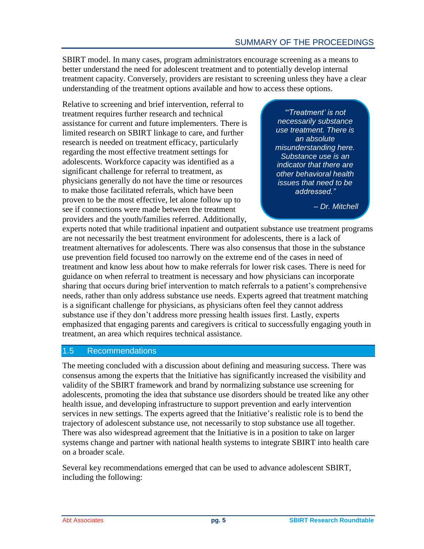SBIRT model. In many cases, program administrators encourage screening as a means to better understand the need for adolescent treatment and to potentially develop internal treatment capacity. Conversely, providers are resistant to screening unless they have a clear understanding of the treatment options available and how to access these options.

Relative to screening and brief intervention, referral to treatment requires further research and technical assistance for current and future implementers. There is limited research on SBIRT linkage to care, and further research is needed on treatment efficacy, particularly regarding the most effective treatment settings for adolescents. Workforce capacity was identified as a significant challenge for referral to treatment, as physicians generally do not have the time or resources to make those facilitated referrals, which have been proven to be the most effective, let alone follow up to see if connections were made between the treatment providers and the youth/families referred. Additionally,

*"'Treatment' is not necessarily substance use treatment. There is an absolute misunderstanding here. Substance use is an indicator that there are other behavioral health issues that need to be addressed."*

*– Dr. Mitchell*

experts noted that while traditional inpatient and outpatient substance use treatment programs are not necessarily the best treatment environment for adolescents, there is a lack of treatment alternatives for adolescents. There was also consensus that those in the substance use prevention field focused too narrowly on the extreme end of the cases in need of treatment and know less about how to make referrals for lower risk cases. There is need for guidance on when referral to treatment is necessary and how physicians can incorporate sharing that occurs during brief intervention to match referrals to a patient's comprehensive needs, rather than only address substance use needs. Experts agreed that treatment matching is a significant challenge for physicians, as physicians often feel they cannot address substance use if they don't address more pressing health issues first. Lastly, experts emphasized that engaging parents and caregivers is critical to successfully engaging youth in treatment, an area which requires technical assistance.

# <span id="page-7-0"></span>1.5 Recommendations

The meeting concluded with a discussion about defining and measuring success. There was consensus among the experts that the Initiative has significantly increased the visibility and validity of the SBIRT framework and brand by normalizing substance use screening for adolescents, promoting the idea that substance use disorders should be treated like any other health issue, and developing infrastructure to support prevention and early intervention services in new settings. The experts agreed that the Initiative's realistic role is to bend the trajectory of adolescent substance use, not necessarily to stop substance use all together. There was also widespread agreement that the Initiative is in a position to take on larger systems change and partner with national health systems to integrate SBIRT into health care on a broader scale.

Several key recommendations emerged that can be used to advance adolescent SBIRT, including the following: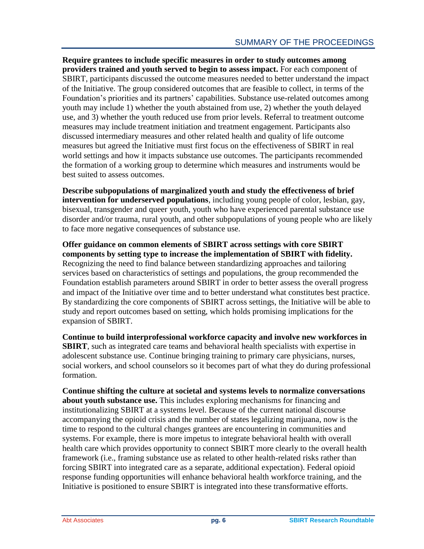**Require grantees to include specific measures in order to study outcomes among providers trained and youth served to begin to assess impact.** For each component of SBIRT, participants discussed the outcome measures needed to better understand the impact of the Initiative. The group considered outcomes that are feasible to collect, in terms of the Foundation's priorities and its partners' capabilities. Substance use-related outcomes among youth may include 1) whether the youth abstained from use, 2) whether the youth delayed use, and 3) whether the youth reduced use from prior levels. Referral to treatment outcome measures may include treatment initiation and treatment engagement. Participants also discussed intermediary measures and other related health and quality of life outcome measures but agreed the Initiative must first focus on the effectiveness of SBIRT in real world settings and how it impacts substance use outcomes. The participants recommended the formation of a working group to determine which measures and instruments would be best suited to assess outcomes.

**Describe subpopulations of marginalized youth and study the effectiveness of brief intervention for underserved populations**, including young people of color, lesbian, gay, bisexual, transgender and queer youth, youth who have experienced parental substance use disorder and/or trauma, rural youth, and other subpopulations of young people who are likely to face more negative consequences of substance use.

**Offer guidance on common elements of SBIRT across settings with core SBIRT components by setting type to increase the implementation of SBIRT with fidelity.** Recognizing the need to find balance between standardizing approaches and tailoring services based on characteristics of settings and populations, the group recommended the Foundation establish parameters around SBIRT in order to better assess the overall progress and impact of the Initiative over time and to better understand what constitutes best practice. By standardizing the core components of SBIRT across settings, the Initiative will be able to study and report outcomes based on setting, which holds promising implications for the expansion of SBIRT.

**Continue to build interprofessional workforce capacity and involve new workforces in SBIRT**, such as integrated care teams and behavioral health specialists with expertise in adolescent substance use. Continue bringing training to primary care physicians, nurses, social workers, and school counselors so it becomes part of what they do during professional formation.

**Continue shifting the culture at societal and systems levels to normalize conversations about youth substance use.** This includes exploring mechanisms for financing and institutionalizing SBIRT at a systems level. Because of the current national discourse accompanying the opioid crisis and the number of states legalizing marijuana, now is the time to respond to the cultural changes grantees are encountering in communities and systems. For example, there is more impetus to integrate behavioral health with overall health care which provides opportunity to connect SBIRT more clearly to the overall health framework (i.e., framing substance use as related to other health-related risks rather than forcing SBIRT into integrated care as a separate, additional expectation). Federal opioid response funding opportunities will enhance behavioral health workforce training, and the Initiative is positioned to ensure SBIRT is integrated into these transformative efforts.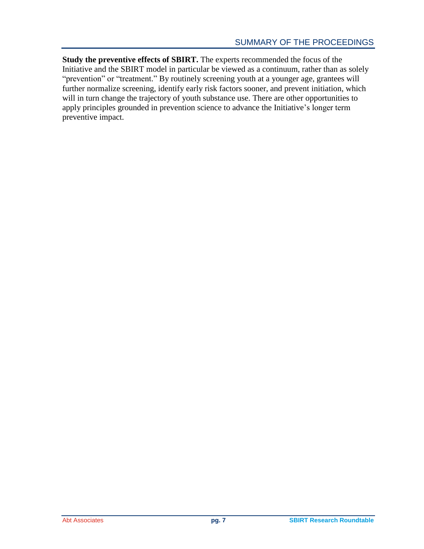**Study the preventive effects of SBIRT.** The experts recommended the focus of the Initiative and the SBIRT model in particular be viewed as a continuum, rather than as solely "prevention" or "treatment." By routinely screening youth at a younger age, grantees will further normalize screening, identify early risk factors sooner, and prevent initiation, which will in turn change the trajectory of youth substance use. There are other opportunities to apply principles grounded in prevention science to advance the Initiative's longer term preventive impact.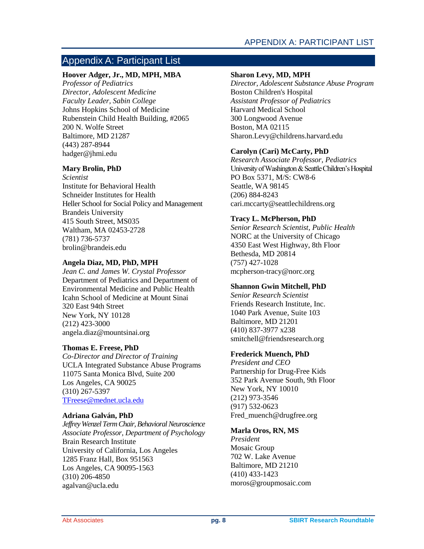# <span id="page-10-0"></span>Appendix A: Participant List

# **Hoover Adger, Jr., MD, MPH, MBA**

*Professor of Pediatrics Director, Adolescent Medicine Faculty Leader, Sabin College* Johns Hopkins School of Medicine Rubenstein Child Health Building, #2065 200 N. Wolfe Street Baltimore, MD 21287 (443) 287-8944 hadger@jhmi.edu

## **Mary Brolin, PhD**

*Scientist* Institute for Behavioral Health Schneider Institutes for Health Heller School for Social Policy and Management Brandeis University 415 South Street, MS035 Waltham, MA 02453-2728 (781) 736-5737 brolin@brandeis.edu

# **Angela Diaz, MD, PhD, MPH**

*Jean C. and James W. Crystal Professor*  Department of Pediatrics and Department of Environmental Medicine and Public Health Icahn School of Medicine at Mount Sinai 320 East 94th Street New York, NY 10128 (212) 423-3000 angela.diaz@mountsinai.org

# **Thomas E. Freese, PhD**

*Co-Director and Director of Training* UCLA Integrated Substance Abuse Programs 11075 Santa Monica Blvd, Suite 200 Los Angeles, CA 90025 (310) 267-5397 [TFreese@mednet.ucla.edu](mailto:TFreese@mednet.ucla.edu)

# **Adriana Galván, PhD**

*Jeffrey Wenzel Term Chair, Behavioral Neuroscience Associate Professor, Department of Psychology* Brain Research Institute University of California, Los Angeles 1285 Franz Hall, Box 951563 Los Angeles, CA 90095-1563 (310) 206-4850 agalvan@ucla.edu

## **Sharon Levy, MD, MPH**

*Director, Adolescent Substance Abuse Program* Boston Children's Hospital *Assistant Professor of Pediatrics*  Harvard Medical School 300 Longwood Avenue Boston, MA 02115 [Sharon.Levy@childrens.harvard.edu](mailto:Sharon.Levy@childrens.harvard.edu)

# **Carolyn (Cari) McCarty, PhD**

*Research Associate Professor, Pediatrics* University of Washington & Seattle Children's Hospital PO Box 5371, M/S: CW8-6 Seattle, WA 98145 (206) 884-8243 [cari.mccarty@seattlechildrens.org](mailto:cari.mccarty@seattlechildrens.org)

# **Tracy L. McPherson, PhD**

*Senior Research Scientist, Public Health* NORC at the University of Chicago 4350 East West Highway, 8th Floor Bethesda, MD 20814 (757) 427-1028 mcpherson-tracy@norc.org

## **Shannon Gwin Mitchell, PhD**

*Senior Research Scientist* Friends Research Institute, Inc. 1040 Park Avenue, Suite 103 Baltimore, MD 21201 (410) 837-3977 x238 smitchell@friendsresearch.org

## **Frederick Muench, PhD**

*President and CEO* Partnership for Drug-Free Kids 352 Park Avenue South, 9th Floor New York, NY 10010 (212) 973-3546 (917) 532-0623 Fred\_muench@drugfree.org

# **Marla Oros, RN, MS**

*President* Mosaic Group 702 W. Lake Avenue Baltimore, MD 21210 (410) 433-1423 moros@groupmosaic.com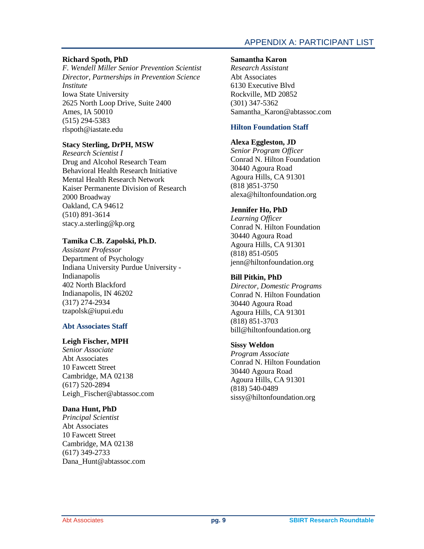# APPENDIX A: PARTICIPANT LIST

# **Richard Spoth, PhD**

*F. Wendell Miller Senior Prevention Scientist Director, Partnerships in Prevention Science Institute* Iowa State University 2625 North Loop Drive, Suite 2400 Ames, IA 50010 (515) 294-5383 rlspoth@iastate.edu

# **Stacy Sterling, DrPH, MSW**

*Research Scientist I* Drug and Alcohol Research Team Behavioral Health Research Initiative Mental Health Research Network Kaiser Permanente Division of Research 2000 Broadway Oakland, CA 94612 (510) 891-3614 [stacy.a.sterling@kp.org](mailto:stacy.a.sterling@kp.org)

# **Tamika C.B. Zapolski, Ph.D.**

*Assistant Professor* Department of Psychology Indiana University Purdue University - Indianapolis 402 North Blackford Indianapolis, IN 46202 (317) 274-2934 tzapolsk@iupui.edu

# **Abt Associates Staff**

## **Leigh Fischer, MPH**

*Senior Associate* Abt Associates 10 Fawcett Street Cambridge, MA 02138 (617) 520-2894 Leigh\_Fischer@abtassoc.com

## **Dana Hunt, PhD**

*Principal Scientist* Abt Associates 10 Fawcett Street Cambridge, MA 02138 (617) 349-2733 Dana\_Hunt@abtassoc.com

#### **Samantha Karon**

*Research Assistant* Abt Associates 6130 Executive Blvd Rockville, MD 20852 (301) 347-5362 Samantha\_Karon@abtassoc.com

## **Hilton Foundation Staff**

## **Alexa Eggleston, JD**

*Senior Program Officer* Conrad N. Hilton Foundation 30440 Agoura Road Agoura Hills, CA 91301 (818 )851-3750 alexa@hiltonfoundation.org

## **Jennifer Ho, PhD**

*Learning Officer* Conrad N. Hilton Foundation 30440 Agoura Road Agoura Hills, CA 91301 (818) 851-0505 jenn@hiltonfoundation.org

# **Bill Pitkin, PhD**

*Director, Domestic Programs* Conrad N. Hilton Foundation 30440 Agoura Road Agoura Hills, CA 91301 (818) 851-3703 bill@hiltonfoundation.org

## **Sissy Weldon**

*Program Associate* Conrad N. Hilton Foundation 30440 Agoura Road Agoura Hills, CA 91301 (818) 540-0489 [sissy@hiltonfoundation.org](mailto:sissy@hiltonfoundation.org)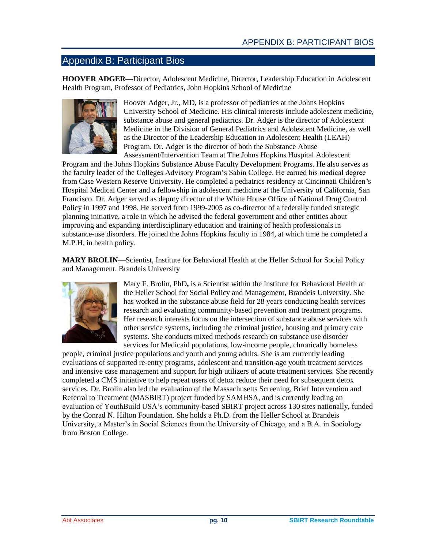# <span id="page-12-0"></span>Appendix B: Participant Bios

**HOOVER ADGER—**Director, Adolescent Medicine, Director, Leadership Education in Adolescent Health Program, Professor of Pediatrics, John Hopkins School of Medicine



Hoover Adger, Jr., MD, is a professor of pediatrics at the Johns Hopkins University School of Medicine. His clinical interests include adolescent medicine, substance abuse and general pediatrics. Dr. Adger is the director of Adolescent Medicine in the Division of General Pediatrics and Adolescent Medicine, as well as the Director of the Leadership Education in Adolescent Health (LEAH) Program. Dr. Adger is the director of both the Substance Abuse Assessment/Intervention Team at The Johns Hopkins Hospital Adolescent

Program and the Johns Hopkins Substance Abuse Faculty Development Programs. He also serves as the faculty leader of the Colleges Advisory Program's Sabin College. He earned his medical degree from Case Western Reserve University. He completed a pediatrics residency at Cincinnati Children''s Hospital Medical Center and a fellowship in adolescent medicine at the University of California, San Francisco. Dr. Adger served as deputy director of the White House Office of National Drug Control Policy in 1997 and 1998. He served from 1999-2005 as co-director of a federally funded strategic planning initiative, a role in which he advised the federal government and other entities about improving and expanding interdisciplinary education and training of health professionals in substance-use disorders. He joined the Johns Hopkins faculty in 1984, at which time he completed a M.P.H. in health policy.

**MARY BROLIN—**Scientist, Institute for Behavioral Health at the Heller School for Social Policy and Management, Brandeis University



Mary F. Brolin, PhD**,** is a Scientist within the Institute for Behavioral Health at the Heller School for Social Policy and Management, Brandeis University. She has worked in the substance abuse field for 28 years conducting health services research and evaluating community-based prevention and treatment programs. Her research interests focus on the intersection of substance abuse services with other service systems, including the criminal justice, housing and primary care systems. She conducts mixed methods research on substance use disorder services for Medicaid populations, low-income people, chronically homeless

people, criminal justice populations and youth and young adults. She is am currently leading evaluations of supported re-entry programs, adolescent and transition-age youth treatment services and intensive case management and support for high utilizers of acute treatment services. She recently completed a CMS initiative to help repeat users of detox reduce their need for subsequent detox services. Dr. Brolin also led the evaluation of the Massachusetts Screening, Brief Intervention and Referral to Treatment (MASBIRT) project funded by SAMHSA, and is currently leading an evaluation of YouthBuild USA's community-based SBIRT project across 130 sites nationally, funded by the Conrad N. Hilton Foundation. She holds a Ph.D. from the Heller School at Brandeis University, a Master's in Social Sciences from the University of Chicago, and a B.A. in Sociology from Boston College.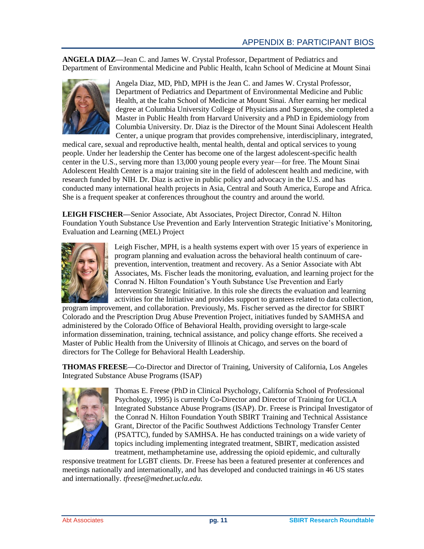**ANGELA DIAZ—**Jean C. and James W. Crystal Professor, Department of Pediatrics and Department of Environmental Medicine and Public Health, Icahn School of Medicine at Mount Sinai



Angela Diaz, MD, PhD, MPH is the Jean C. and James W. Crystal Professor, Department of Pediatrics and Department of Environmental Medicine and Public Health, at the Icahn School of Medicine at Mount Sinai. After earning her medical degree at Columbia University College of Physicians and Surgeons, she completed a Master in Public Health from Harvard University and a PhD in Epidemiology from Columbia University. Dr. Diaz is the Director of the Mount Sinai Adolescent Health Center, a unique program that provides comprehensive, interdisciplinary, integrated,

medical care, sexual and reproductive health, mental health, dental and optical services to young people. Under her leadership the Center has become one of the largest adolescent-specific health center in the U.S., serving more than 13,000 young people every year—for free. The Mount Sinai Adolescent Health Center is a major training site in the field of adolescent health and medicine, with research funded by NIH. Dr. Diaz is active in public policy and advocacy in the U.S. and has conducted many international health projects in Asia, Central and South America, Europe and Africa. She is a frequent speaker at conferences throughout the country and around the world.

**LEIGH FISCHER—**Senior Associate, Abt Associates, Project Director, Conrad N. Hilton Foundation Youth Substance Use Prevention and Early Intervention Strategic Initiative's Monitoring, Evaluation and Learning (MEL) Project



Leigh Fischer, MPH, is a health systems expert with over 15 years of experience in program planning and evaluation across the behavioral health continuum of careprevention, intervention, treatment and recovery. As a Senior Associate with Abt Associates, Ms. Fischer leads the monitoring, evaluation, and learning project for the Conrad N. Hilton Foundation's Youth Substance Use Prevention and Early Intervention Strategic Initiative. In this role she directs the evaluation and learning activities for the Initiative and provides support to grantees related to data collection,

program improvement, and collaboration. Previously, Ms. Fischer served as the director for SBIRT Colorado and the Prescription Drug Abuse Prevention Project, initiatives funded by SAMHSA and administered by the Colorado Office of Behavioral Health, providing oversight to large-scale information dissemination, training, technical assistance, and policy change efforts. She received a Master of Public Health from the University of Illinois at Chicago, and serves on the board of directors for The College for Behavioral Health Leadership.

**THOMAS FREESE—**Co-Director and Director of Training, University of California, Los Angeles Integrated Substance Abuse Programs (ISAP)



Thomas E. Freese (PhD in Clinical Psychology, California School of Professional Psychology, 1995) is currently Co-Director and Director of Training for UCLA Integrated Substance Abuse Programs (ISAP). Dr. Freese is Principal Investigator of the Conrad N. Hilton Foundation Youth SBIRT Training and Technical Assistance Grant, Director of the Pacific Southwest Addictions Technology Transfer Center (PSATTC), funded by SAMHSA. He has conducted trainings on a wide variety of topics including implementing integrated treatment, SBIRT, medication assisted treatment, methamphetamine use, addressing the opioid epidemic, and culturally

responsive treatment for LGBT clients. Dr. Freese has been a featured presenter at conferences and meetings nationally and internationally, and has developed and conducted trainings in 46 US states and internationally. *tfreese@mednet.ucla.edu.*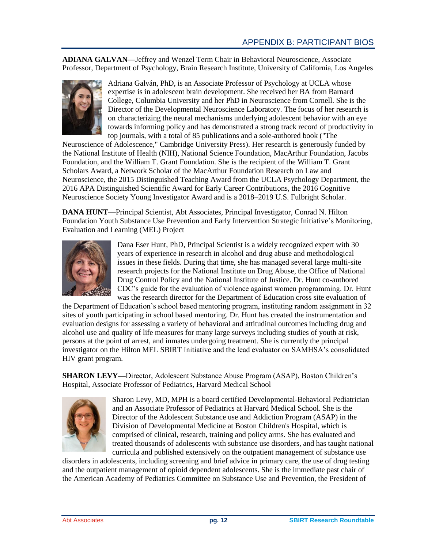**ADIANA GALVAN—**Jeffrey and Wenzel Term Chair in Behavioral Neuroscience, Associate Professor, Department of Psychology, Brain Research Institute, University of California, Los Angeles



Adriana Galván, PhD, is an Associate Professor of Psychology at UCLA whose expertise is in adolescent brain development. She received her BA from Barnard College, Columbia University and her PhD in Neuroscience from Cornell. She is the Director of the Developmental Neuroscience Laboratory. The focus of her research is on characterizing the neural mechanisms underlying adolescent behavior with an eye towards informing policy and has demonstrated a strong track record of productivity in top journals, with a total of 85 publications and a sole-authored book ("The

Neuroscience of Adolescence," Cambridge University Press). Her research is generously funded by the National Institute of Health (NIH), National Science Foundation, MacArthur Foundation, Jacobs Foundation, and the William T. Grant Foundation. She is the recipient of the William T. Grant Scholars Award, a Network Scholar of the MacArthur Foundation Research on Law and Neuroscience, the 2015 Distinguished Teaching Award from the UCLA Psychology Department, the 2016 APA Distinguished Scientific Award for Early Career Contributions, the 2016 Cognitive Neuroscience Society Young Investigator Award and is a 2018–2019 U.S. Fulbright Scholar.

**DANA HUNT—**Principal Scientist, Abt Associates, Principal Investigator, Conrad N. Hilton Foundation Youth Substance Use Prevention and Early Intervention Strategic Initiative's Monitoring, Evaluation and Learning (MEL) Project



Dana Eser Hunt, PhD, Principal Scientist is a widely recognized expert with 30 years of experience in research in alcohol and drug abuse and methodological issues in these fields. During that time, she has managed several large multi-site research projects for the National Institute on Drug Abuse, the Office of National Drug Control Policy and the National Institute of Justice. Dr. Hunt co-authored CDC's guide for the evaluation of violence against women programming. Dr. Hunt was the research director for the Department of Education cross site evaluation of

the Department of Education's school based mentoring program, instituting random assignment in 32 sites of youth participating in school based mentoring. Dr. Hunt has created the instrumentation and evaluation designs for assessing a variety of behavioral and attitudinal outcomes including drug and alcohol use and quality of life measures for many large surveys including studies of youth at risk, persons at the point of arrest, and inmates undergoing treatment. She is currently the principal investigator on the Hilton MEL SBIRT Initiative and the lead evaluator on SAMHSA's consolidated HIV grant program.

**SHARON LEVY—**Director, Adolescent Substance Abuse Program (ASAP), Boston Children's Hospital, Associate Professor of Pediatrics, Harvard Medical School



Sharon Levy, MD, MPH is a board certified Developmental-Behavioral Pediatrician and an Associate Professor of Pediatrics at Harvard Medical School. She is the Director of the Adolescent Substance use and Addiction Program (ASAP) in the Division of Developmental Medicine at Boston Children's Hospital, which is comprised of clinical, research, training and policy arms. She has evaluated and treated thousands of adolescents with substance use disorders, and has taught national curricula and published extensively on the outpatient management of substance use

disorders in adolescents, including screening and brief advice in primary care, the use of drug testing and the outpatient management of opioid dependent adolescents. She is the immediate past chair of the American Academy of Pediatrics Committee on Substance Use and Prevention, the President of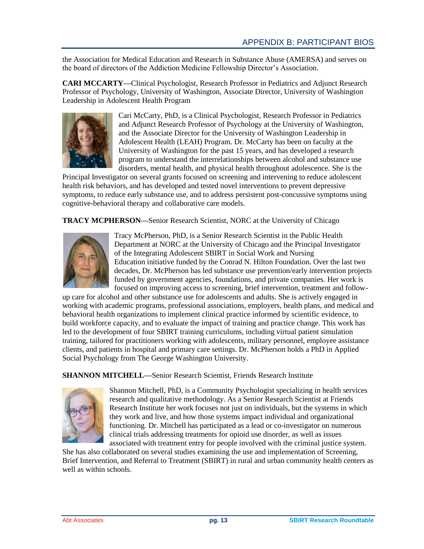the Association for Medical Education and Research in Substance Abuse (AMERSA) and serves on the board of directors of the Addiction Medicine Fellowship Director's Association.

**CARI MCCARTY—**Clinical Psychologist, Research Professor in Pediatrics and Adjunct Research Professor of Psychology, University of Washington, Associate Director, University of Washington Leadership in Adolescent Health Program



Cari McCarty, PhD, is a Clinical Psychologist, Research Professor in Pediatrics and Adjunct Research Professor of Psychology at the University of Washington, and the Associate Director for the University of Washington Leadership in Adolescent Health (LEAH) Program. Dr. McCarty has been on faculty at the University of Washington for the past 15 years, and has developed a research program to understand the interrelationships between alcohol and substance use disorders, mental health, and physical health throughout adolescence. She is the

Principal Investigator on several grants focused on screening and intervening to reduce adolescent health risk behaviors, and has developed and tested novel interventions to prevent depressive symptoms, to reduce early substance use, and to address persistent post-concussive symptoms using cognitive-behavioral therapy and collaborative care models.

**TRACY MCPHERSON—**Senior Research Scientist, NORC at the University of Chicago



Tracy McPherson, PhD, is a Senior Research Scientist in the Public Health Department at NORC at the University of Chicago and the Principal Investigator of the Integrating Adolescent SBIRT in Social Work and Nursing Education initiative funded by the Conrad N. Hilton Foundation. Over the last two decades, Dr. McPherson has led substance use prevention/early intervention projects funded by government agencies, foundations, and private companies. Her work is focused on improving access to screening, brief intervention, treatment and follow-

up care for alcohol and other substance use for adolescents and adults. She is actively engaged in working with academic programs, professional associations, employers, health plans, and medical and behavioral health organizations to implement clinical practice informed by scientific evidence, to build workforce capacity, and to evaluate the impact of training and practice change. This work has led to the development of four SBIRT training curriculums, including virtual patient simulation training, tailored for practitioners working with adolescents, military personnel, employee assistance clients, and patients in hospital and primary care settings. Dr. McPherson holds a PhD in Applied Social Psychology from The George Washington University.

**SHANNON MITCHELL—**Senior Research Scientist, Friends Research Institute



Shannon Mitchell, PhD, is a Community Psychologist specializing in health services research and qualitative methodology. As a Senior Research Scientist at Friends Research Institute her work focuses not just on individuals, but the systems in which they work and live, and how those systems impact individual and organizational functioning. Dr. Mitchell has participated as a lead or co-investigator on numerous clinical trials addressing treatments for opioid use disorder, as well as issues associated with treatment entry for people involved with the criminal justice system.

She has also collaborated on several studies examining the use and implementation of Screening, Brief Intervention, and Referral to Treatment (SBIRT) in rural and urban community health centers as well as within schools.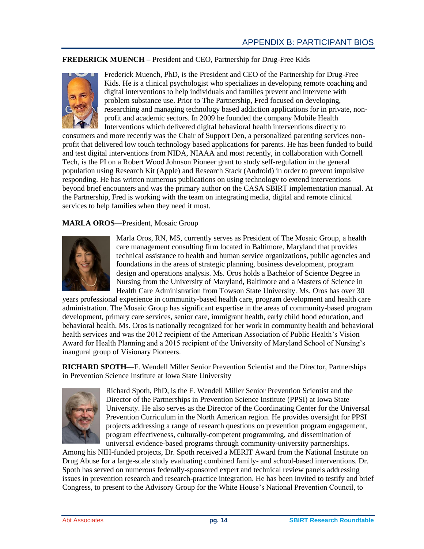# **FREDERICK MUENCH –** President and CEO, Partnership for Drug-Free Kids



Frederick Muench, PhD, is the President and CEO of the Partnership for Drug-Free Kids. He is a clinical psychologist who specializes in developing remote coaching and digital interventions to help individuals and families prevent and intervene with problem substance use. Prior to The Partnership, Fred focused on developing, researching and managing technology based addiction applications for in private, nonprofit and academic sectors. In 2009 he founded the company Mobile Health Interventions which delivered digital behavioral health interventions directly to

consumers and more recently was the Chair of Support Den, a personalized parenting services nonprofit that delivered low touch technology based applications for parents. He has been funded to build and test digital interventions from NIDA, NIAAA and most recently, in collaboration with Cornell Tech, is the PI on a Robert Wood Johnson Pioneer grant to study self-regulation in the general population using Research Kit (Apple) and Research Stack (Android) in order to prevent impulsive responding. He has written numerous publications on using technology to extend interventions beyond brief encounters and was the primary author on the CASA SBIRT implementation manual. At the Partnership, Fred is working with the team on integrating media, digital and remote clinical services to help families when they need it most.

# **MARLA OROS—**President, Mosaic Group



Marla Oros, RN, MS, currently serves as President of The Mosaic Group, a health care management consulting firm located in Baltimore, Maryland that provides technical assistance to health and human service organizations, public agencies and foundations in the areas of strategic planning, business development, program design and operations analysis. Ms. Oros holds a Bachelor of Science Degree in Nursing from the University of Maryland, Baltimore and a Masters of Science in Health Care Administration from Towson State University. Ms. Oros has over 30

years professional experience in community-based health care, program development and health care administration. The Mosaic Group has significant expertise in the areas of community-based program development, primary care services, senior care, immigrant health, early child hood education, and behavioral health. Ms. Oros is nationally recognized for her work in community health and behavioral health services and was the 2012 recipient of the American Association of Public Health's Vision Award for Health Planning and a 2015 recipient of the University of Maryland School of Nursing's inaugural group of Visionary Pioneers.

**RICHARD SPOTH—**F. Wendell Miller Senior Prevention Scientist and the Director, Partnerships in Prevention Science Institute at Iowa State University



Richard Spoth, PhD, is the F. Wendell Miller Senior Prevention Scientist and the Director of the Partnerships in Prevention Science Institute (PPSI) at Iowa State University. He also serves as the Director of the Coordinating Center for the Universal Prevention Curriculum in the North American region. He provides oversight for PPSI projects addressing a range of research questions on prevention program engagement, program effectiveness, culturally-competent programming, and dissemination of universal evidence-based programs through community-university partnerships.

Among his NIH-funded projects, Dr. Spoth received a MERIT Award from the National Institute on Drug Abuse for a large-scale study evaluating combined family- and school-based interventions. Dr. Spoth has served on numerous federally-sponsored expert and technical review panels addressing issues in prevention research and research-practice integration. He has been invited to testify and brief Congress, to present to the Advisory Group for the White House's National Prevention Council, to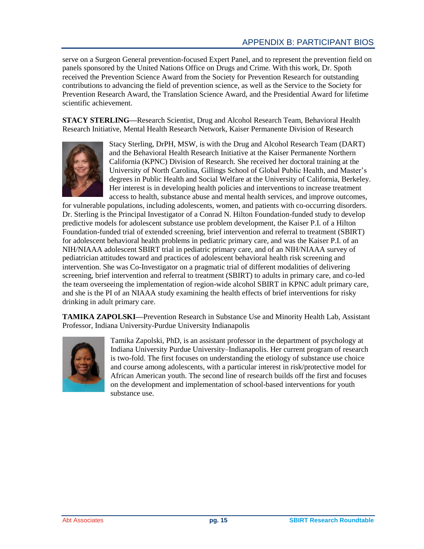serve on a Surgeon General prevention-focused Expert Panel, and to represent the prevention field on panels sponsored by the United Nations Office on Drugs and Crime. With this work, Dr. Spoth received the Prevention Science Award from the Society for Prevention Research for outstanding contributions to advancing the field of prevention science, as well as the Service to the Society for Prevention Research Award, the Translation Science Award, and the Presidential Award for lifetime scientific achievement.

**STACY STERLING—**Research Scientist, Drug and Alcohol Research Team, Behavioral Health Research Initiative, Mental Health Research Network, Kaiser Permanente Division of Research



Stacy Sterling, DrPH, MSW, is with the Drug and Alcohol Research Team (DART) and the Behavioral Health Research Initiative at the Kaiser Permanente Northern California (KPNC) Division of Research. She received her doctoral training at the University of North Carolina, Gillings School of Global Public Health, and Master's degrees in Public Health and Social Welfare at the University of California, Berkeley. Her interest is in developing health policies and interventions to increase treatment access to health, substance abuse and mental health services, and improve outcomes,

for vulnerable populations, including adolescents, women, and patients with co-occurring disorders. Dr. Sterling is the Principal Investigator of a Conrad N. Hilton Foundation-funded study to develop predictive models for adolescent substance use problem development, the Kaiser P.I. of a Hilton Foundation-funded trial of extended screening, brief intervention and referral to treatment (SBIRT) for adolescent behavioral health problems in pediatric primary care, and was the Kaiser P.I. of an NIH/NIAAA adolescent SBIRT trial in pediatric primary care, and of an NIH/NIAAA survey of pediatrician attitudes toward and practices of adolescent behavioral health risk screening and intervention. She was Co-Investigator on a pragmatic trial of different modalities of delivering screening, brief intervention and referral to treatment (SBIRT) to adults in primary care, and co-led the team overseeing the implementation of region-wide alcohol SBIRT in KPNC adult primary care, and she is the PI of an NIAAA study examining the health effects of brief interventions for risky drinking in adult primary care.

**TAMIKA ZAPOLSKI—**Prevention Research in Substance Use and Minority Health Lab, Assistant Professor, Indiana University-Purdue University Indianapolis



Tamika Zapolski, PhD, is an assistant professor in the department of psychology at Indiana University Purdue University–Indianapolis. Her current program of research is two-fold. The first focuses on understanding the etiology of substance use choice and course among adolescents, with a particular interest in risk/protective model for African American youth. The second line of research builds off the first and focuses on the development and implementation of school-based interventions for youth substance use.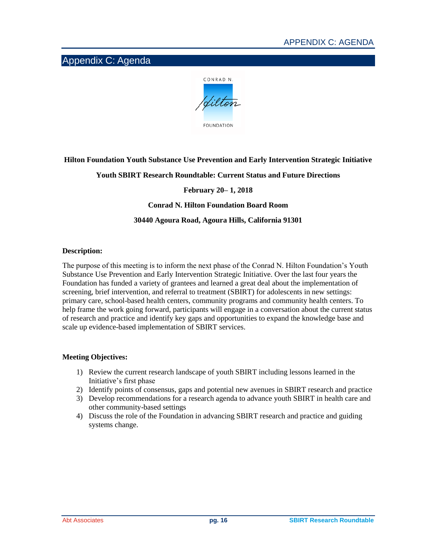# <span id="page-18-0"></span>Appendix C: Agenda



# **Hilton Foundation Youth Substance Use Prevention and Early Intervention Strategic Initiative**

# **Youth SBIRT Research Roundtable: Current Status and Future Directions**

# **February 20– 1, 2018**

## **Conrad N. Hilton Foundation Board Room**

# **30440 Agoura Road, Agoura Hills, California 91301**

#### **Description:**

The purpose of this meeting is to inform the next phase of the Conrad N. Hilton Foundation's Youth Substance Use Prevention and Early Intervention Strategic Initiative. Over the last four years the Foundation has funded a variety of grantees and learned a great deal about the implementation of screening, brief intervention, and referral to treatment (SBIRT) for adolescents in new settings: primary care, school-based health centers, community programs and community health centers. To help frame the work going forward, participants will engage in a conversation about the current status of research and practice and identify key gaps and opportunities to expand the knowledge base and scale up evidence-based implementation of SBIRT services.

## **Meeting Objectives:**

- 1) Review the current research landscape of youth SBIRT including lessons learned in the Initiative's first phase
- 2) Identify points of consensus, gaps and potential new avenues in SBIRT research and practice
- 3) Develop recommendations for a research agenda to advance youth SBIRT in health care and other community-based settings
- 4) Discuss the role of the Foundation in advancing SBIRT research and practice and guiding systems change.